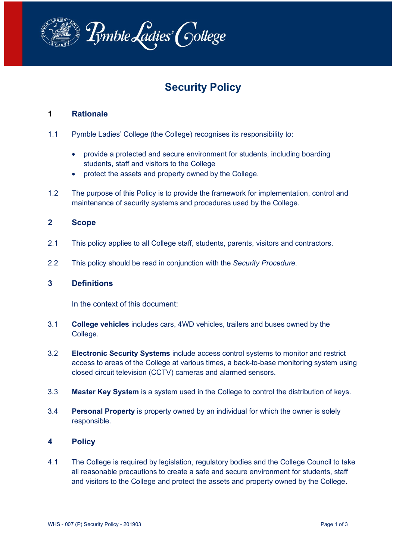

# **Security Policy**

# **1 Rationale**

- 1.1 Pymble Ladies' College (the College) recognises its responsibility to:
	- provide a protected and secure environment for students, including boarding students, staff and visitors to the College
	- protect the assets and property owned by the College.
- 1.2 The purpose of this Policy is to provide the framework for implementation, control and maintenance of security systems and procedures used by the College.

#### **2 Scope**

- 2.1 This policy applies to all College staff, students, parents, visitors and contractors.
- 2.2 This policy should be read in conjunction with the *Security Procedure*.

#### **3 Definitions**

In the context of this document:

- 3.1 **College vehicles** includes cars, 4WD vehicles, trailers and buses owned by the College.
- 3.2 **Electronic Security Systems** include access control systems to monitor and restrict access to areas of the College at various times, a back-to-base monitoring system using closed circuit television (CCTV) cameras and alarmed sensors.
- 3.3 **Master Key System** is a system used in the College to control the distribution of keys.
- 3.4 **Personal Property** is property owned by an individual for which the owner is solely responsible.

#### **4 Policy**

4.1 The College is required by legislation, regulatory bodies and the College Council to take all reasonable precautions to create a safe and secure environment for students, staff and visitors to the College and protect the assets and property owned by the College.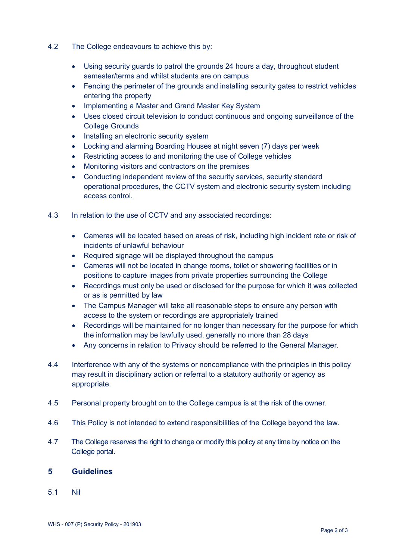- 4.2 The College endeavours to achieve this by:
	- Using security guards to patrol the grounds 24 hours a day, throughout student semester/terms and whilst students are on campus
	- Fencing the perimeter of the grounds and installing security gates to restrict vehicles entering the property
	- Implementing a Master and Grand Master Key System
	- Uses closed circuit television to conduct continuous and ongoing surveillance of the College Grounds
	- Installing an electronic security system
	- Locking and alarming Boarding Houses at night seven (7) days per week
	- Restricting access to and monitoring the use of College vehicles
	- Monitoring visitors and contractors on the premises
	- Conducting independent review of the security services, security standard operational procedures, the CCTV system and electronic security system including access control.
- 4.3 In relation to the use of CCTV and any associated recordings:
	- Cameras will be located based on areas of risk, including high incident rate or risk of incidents of unlawful behaviour
	- Required signage will be displayed throughout the campus
	- Cameras will not be located in change rooms, toilet or showering facilities or in positions to capture images from private properties surrounding the College
	- Recordings must only be used or disclosed for the purpose for which it was collected or as is permitted by law
	- The Campus Manager will take all reasonable steps to ensure any person with access to the system or recordings are appropriately trained
	- Recordings will be maintained for no longer than necessary for the purpose for which the information may be lawfully used, generally no more than 28 days
	- Any concerns in relation to Privacy should be referred to the General Manager.
- 4.4 Interference with any of the systems or noncompliance with the principles in this policy may result in disciplinary action or referral to a statutory authority or agency as appropriate.
- 4.5 Personal property brought on to the College campus is at the risk of the owner.
- 4.6 This Policy is not intended to extend responsibilities of the College beyond the law.
- 4.7 The College reserves the right to change or modify this policy at any time by notice on the College portal.

### **5 Guidelines**

5.1 Nil